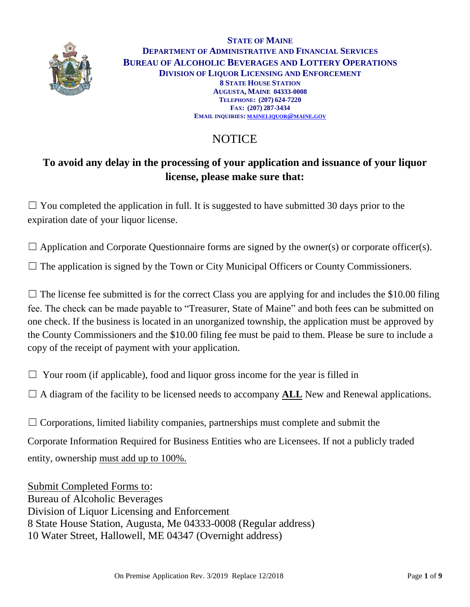

**STATE OF MAINE DEPARTMENT OF ADMINISTRATIVE AND FINANCIAL SERVICES BUREAU OF ALCOHOLIC BEVERAGES AND LOTTERY OPERATIONS DIVISION OF LIQUOR LICENSING AND ENFORCEMENT 8 STATE HOUSE STATION AUGUSTA, MAINE 04333-0008 TELEPHONE: (207) 624-7220 FAX: (207) 287-3434 EMAIL INQUIRIES: [MAINELIQUOR](mailto:maineliquor@maine.gov)@MAINE.GOV**

# **NOTICE**

# **To avoid any delay in the processing of your application and issuance of your liquor license, please make sure that:**

 $\Box$  You completed the application in full. It is suggested to have submitted 30 days prior to the expiration date of your liquor license.

 $\Box$  Application and Corporate Questionnaire forms are signed by the owner(s) or corporate officer(s).

 $\Box$  The application is signed by the Town or City Municipal Officers or County Commissioners.

 $\Box$  The license fee submitted is for the correct Class you are applying for and includes the \$10.00 filing fee. The check can be made payable to "Treasurer, State of Maine" and both fees can be submitted on one check. If the business is located in an unorganized township, the application must be approved by the County Commissioners and the \$10.00 filing fee must be paid to them. Please be sure to include a copy of the receipt of payment with your application.

 $\Box$  Your room (if applicable), food and liquor gross income for the year is filled in

 $\Box$  A diagram of the facility to be licensed needs to accompany **ALL** New and Renewal applications.

 $\Box$  Corporations, limited liability companies, partnerships must complete and submit the Corporate Information Required for Business Entities who are Licensees. If not a publicly traded entity, ownership must add up to 100%.

Submit Completed Forms to: Bureau of Alcoholic Beverages Division of Liquor Licensing and Enforcement 8 State House Station, Augusta, Me 04333-0008 (Regular address) 10 Water Street, Hallowell, ME 04347 (Overnight address)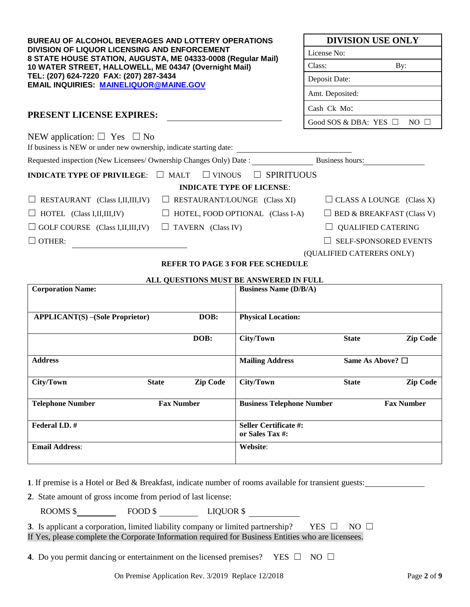| <b>BUREAU OF ALCOHOL BEVERAGES AND LOTTERY OPERATIONS</b><br>DIVISION OF LIQUOR LICENSING AND ENFORCEMENT<br>8 STATE HOUSE STATION, AUGUSTA, ME 04333-0008 (Regular Mail) |                                                                                     | <b>DIVISION USE ONLY</b>             |  |  |
|---------------------------------------------------------------------------------------------------------------------------------------------------------------------------|-------------------------------------------------------------------------------------|--------------------------------------|--|--|
|                                                                                                                                                                           |                                                                                     | License No:                          |  |  |
| 10 WATER STREET, HALLOWELL, ME 04347 (Overnight Mail)                                                                                                                     | Class:<br>By:                                                                       |                                      |  |  |
| TEL: (207) 624-7220 FAX: (207) 287-3434<br><b>EMAIL INQUIRIES: MAINELIQUOR@MAINE.GOV</b>                                                                                  |                                                                                     | Deposit Date:                        |  |  |
|                                                                                                                                                                           |                                                                                     | Amt. Deposited:                      |  |  |
| <b>PRESENT LICENSE EXPIRES:</b>                                                                                                                                           |                                                                                     | Cash Ck Mo:                          |  |  |
|                                                                                                                                                                           |                                                                                     | Good SOS & DBA: YES $\Box$ NO $\Box$ |  |  |
| NEW application: $\Box$ Yes $\Box$ No<br>If business is NEW or under new ownership, indicate starting date:                                                               |                                                                                     |                                      |  |  |
|                                                                                                                                                                           | Requested inspection (New Licensees/ Ownership Changes Only) Date : Business hours: |                                      |  |  |
| <b>INDICATE TYPE OF PRIVILEGE: <math>\Box</math> MALT</b>                                                                                                                 | <b>SPIRITUOUS</b><br>$\Box$ VINOUS<br>$\Box$                                        |                                      |  |  |
|                                                                                                                                                                           | <b>INDICATE TYPE OF LICENSE:</b>                                                    |                                      |  |  |
| $\Box$ RESTAURANT (Class I, II, III, IV)                                                                                                                                  | $\Box$ RESTAURANT/LOUNGE (Class XI)                                                 |                                      |  |  |
| $\Box$ HOTEL (Class I, II, III, IV)                                                                                                                                       | $\Box$ HOTEL, FOOD OPTIONAL (Class I-A)                                             |                                      |  |  |
| $\Box$ GOLF COURSE (Class I, II, III, IV)                                                                                                                                 | $\Box$ TAVERN (Class IV)                                                            | <b>QUALIFIED CATERING</b>            |  |  |
| $\Box$ OTHER:                                                                                                                                                             |                                                                                     | <b>SELF-SPONSORED EVENTS</b>         |  |  |
|                                                                                                                                                                           |                                                                                     | (QUALIFIED CATERERS ONLY)            |  |  |
|                                                                                                                                                                           | <b>BEER BO BLOBARON BEELCOUPENIU B</b>                                              |                                      |  |  |

### **REFER TO PAGE 3 FOR FEE SCHEDULE**

#### **ALL QUESTIONS MUST BE ANSWERED IN FULL**

| <b>Corporation Name:</b>               |              |                   | <b>Business Name (D/B/A)</b>                    |              |                          |
|----------------------------------------|--------------|-------------------|-------------------------------------------------|--------------|--------------------------|
| <b>APPLICANT(S)</b> –(Sole Proprietor) |              | DOB:              | <b>Physical Location:</b>                       |              |                          |
|                                        |              | DOB:              | City/Town                                       | <b>State</b> | <b>Zip Code</b>          |
| <b>Address</b>                         |              |                   | <b>Mailing Address</b>                          |              | Same As Above? $\square$ |
| City/Town                              | <b>State</b> | <b>Zip Code</b>   | City/Town                                       | <b>State</b> | <b>Zip Code</b>          |
| <b>Telephone Number</b>                |              | <b>Fax Number</b> | <b>Business Telephone Number</b>                |              | <b>Fax Number</b>        |
| Federal I.D. #                         |              |                   | <b>Seller Certificate #:</b><br>or Sales Tax #: |              |                          |
| <b>Email Address:</b>                  |              |                   | Website:                                        |              |                          |

**1**. If premise is a Hotel or Bed & Breakfast, indicate number of rooms available for transient guests:

**2**. State amount of gross income from period of last license:

ROOMS \$
FOOD \$
LIQUOR \$
LIQUOR \$
LIQUOR \$
LIQUOR \$
LIQUOR \$
LIQUOR \$
LIQUOR \$
LIQUOR \$
LIQUOR \$
LIQUOR \$
LIQUOR \$
LIQUOR \$
LIQUOR \$
LIQUOR \$
LIQUOR \$
LIQUOR \$
LIQUOR \$
LIQUOR \$
LIQUOR \$
LIQUOR \$
LIQUOR \$
LIQUOR \$
LIQUOR \$

**3**. Is applicant a corporation, limited liability company or limited partnership? YES □ NO □ If Yes, please complete the Corporate Information required for Business Entities who are licensees.

**4**. Do you permit dancing or entertainment on the licensed premises? YES □ NO □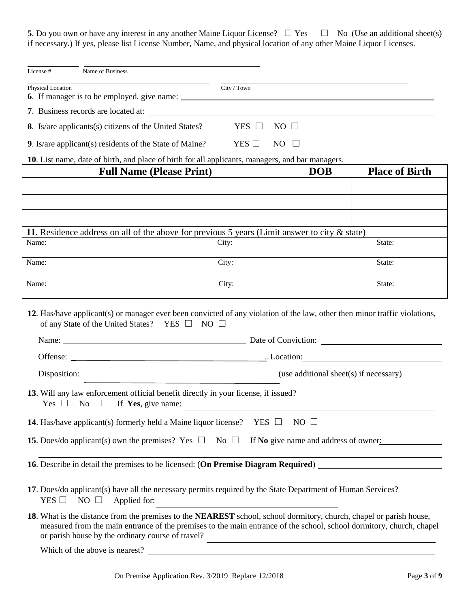**5**. Do you own or have any interest in any another Maine Liquor License?  $\Box$  Yes  $\Box$  No (Use an additional sheet(s) if necessary.) If yes, please list License Number, Name, and physical location of any other Maine Liquor Licenses.

| License #<br>Name of Business                                                                                                                                                                                                                                                                    |                                        |             |                       |
|--------------------------------------------------------------------------------------------------------------------------------------------------------------------------------------------------------------------------------------------------------------------------------------------------|----------------------------------------|-------------|-----------------------|
|                                                                                                                                                                                                                                                                                                  |                                        |             |                       |
| Physical Location                                                                                                                                                                                                                                                                                | City / Town                            |             |                       |
| 7. Business records are located at:                                                                                                                                                                                                                                                              |                                        |             |                       |
| 8. Is/are applicants(s) citizens of the United States?                                                                                                                                                                                                                                           | YES $\Box$<br>$NO \square$             |             |                       |
| 9. Is/are applicant(s) residents of the State of Maine?                                                                                                                                                                                                                                          | $YES$ $\square$<br>NO.                 | $\Box$      |                       |
| 10. List name, date of birth, and place of birth for all applicants, managers, and bar managers.                                                                                                                                                                                                 |                                        |             |                       |
| <b>Full Name (Please Print)</b>                                                                                                                                                                                                                                                                  |                                        | <b>DOB</b>  | <b>Place of Birth</b> |
|                                                                                                                                                                                                                                                                                                  |                                        |             |                       |
|                                                                                                                                                                                                                                                                                                  |                                        |             |                       |
|                                                                                                                                                                                                                                                                                                  |                                        |             |                       |
| 11. Residence address on all of the above for previous 5 years (Limit answer to city $\&$ state)                                                                                                                                                                                                 |                                        |             |                       |
| Name:                                                                                                                                                                                                                                                                                            | City:                                  |             | State:                |
| Name:                                                                                                                                                                                                                                                                                            | City:                                  |             | State:                |
|                                                                                                                                                                                                                                                                                                  |                                        |             |                       |
| Name:                                                                                                                                                                                                                                                                                            | City:                                  |             | State:                |
| 12. Has/have applicant(s) or manager ever been convicted of any violation of the law, other then minor traffic violations,<br>of any State of the United States? YES $\Box$ NO $\Box$<br>Name: <u>Name:</u> Date of Conviction:                                                                  |                                        |             |                       |
|                                                                                                                                                                                                                                                                                                  |                                        |             |                       |
| Disposition:                                                                                                                                                                                                                                                                                     | (use additional sheet(s) if necessary) |             |                       |
| 13. Will any law enforcement official benefit directly in your license, if issued?<br>Yes $\Box$ No $\Box$ If Yes, give name:                                                                                                                                                                    |                                        |             |                       |
| <b>14.</b> Has/have applicant(s) formerly held a Maine liquor license?                                                                                                                                                                                                                           | YES $\Box$                             | $NO$ $\Box$ |                       |
| <b>15.</b> Does/do applicant(s) own the premises? Yes $\Box$ No $\Box$<br>If No give name and address of owner:                                                                                                                                                                                  |                                        |             |                       |
| 16. Describe in detail the premises to be licensed: (On Premise Diagram Required) ____________________________                                                                                                                                                                                   |                                        |             |                       |
| 17. Does/do applicant(s) have all the necessary permits required by the State Department of Human Services?<br>$YES \Box NO \Box$<br>Applied for:                                                                                                                                                |                                        |             |                       |
| 18. What is the distance from the premises to the NEAREST school, school dormitory, church, chapel or parish house,<br>measured from the main entrance of the premises to the main entrance of the school, school dormitory, church, chapel<br>or parish house by the ordinary course of travel? |                                        |             |                       |
| Which of the above is nearest?                                                                                                                                                                                                                                                                   |                                        |             |                       |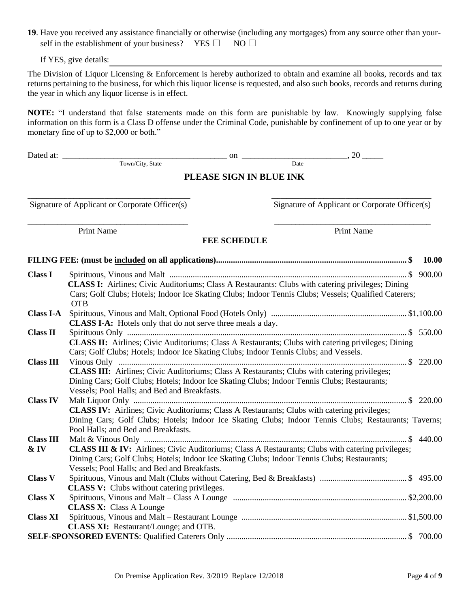**19**. Have you received any assistance financially or otherwise (including any mortgages) from any source other than your self in the establishment of your business? YES  $\Box$  NO  $\Box$ 

If YES, give details:

The Division of Liquor Licensing & Enforcement is hereby authorized to obtain and examine all books, records and tax returns pertaining to the business, for which this liquor license is requested, and also such books, records and returns during the year in which any liquor license is in effect.

**NOTE:** "I understand that false statements made on this form are punishable by law. Knowingly supplying false information on this form is a Class D offense under the Criminal Code, punishable by confinement of up to one year or by monetary fine of up to \$2,000 or both."

Town/City, State

Dated at: \_\_\_\_\_\_\_\_\_\_\_\_\_\_\_\_\_\_\_\_\_\_\_\_\_\_\_\_\_\_\_\_\_\_\_\_\_\_\_ on \_\_\_\_\_\_\_\_\_\_\_\_\_\_\_\_\_\_\_\_\_\_\_\_\_, 20 \_\_\_\_\_

### **PLEASE SIGN IN BLUE INK**

Signature of Applicant or Corporate Officer(s) Signature of Applicant or Corporate Officer(s)

Print Name Print Name Print Name Print Name Print Name Print Name Print Name Print Name Print Name Print Name Print Name Print Name Print Name Print Name Print Name Print Name Print Name Print Name Print Name Print Name Pr

### **FEE SCHEDULE**

\_\_\_\_\_\_\_\_\_\_\_\_\_\_\_\_\_\_\_\_\_\_\_\_\_\_\_\_\_\_\_\_\_\_\_\_\_\_\_\_\_\_\_\_\_\_\_\_\_\_\_\_\_ \_\_\_\_\_\_\_\_\_\_\_\_\_\_\_\_\_\_\_\_\_\_\_\_\_\_\_\_\_\_\_\_\_\_\_\_\_\_\_\_\_\_\_\_\_\_\_\_\_\_\_\_

\_\_\_\_\_\_\_\_\_\_\_\_\_\_\_\_\_\_\_\_\_\_\_\_\_\_\_\_\_\_\_\_\_\_\_\_\_\_ \_\_\_\_\_\_\_\_\_\_\_\_\_\_\_\_\_\_\_\_\_\_\_\_\_\_\_\_\_\_\_\_\_\_\_\_\_

|                  |                                                                                                                                                                                                                                                              | 10.00 |
|------------------|--------------------------------------------------------------------------------------------------------------------------------------------------------------------------------------------------------------------------------------------------------------|-------|
| <b>Class I</b>   | <b>CLASS I:</b> Airlines; Civic Auditoriums; Class A Restaurants: Clubs with catering privileges; Dining<br>Cars; Golf Clubs; Hotels; Indoor Ice Skating Clubs; Indoor Tennis Clubs; Vessels; Qualified Caterers;<br><b>OTB</b>                              |       |
| <b>Class I-A</b> |                                                                                                                                                                                                                                                              |       |
| <b>Class II</b>  | <b>CLASS I-A:</b> Hotels only that do not serve three meals a day.                                                                                                                                                                                           |       |
| <b>Class III</b> | CLASS II: Airlines; Civic Auditoriums; Class A Restaurants; Clubs with catering privileges; Dining<br>Cars; Golf Clubs; Hotels; Indoor Ice Skating Clubs; Indoor Tennis Clubs; and Vessels.                                                                  |       |
|                  | <b>CLASS III:</b> Airlines; Civic Auditoriums; Class A Restaurants; Clubs with catering privileges;<br>Dining Cars; Golf Clubs; Hotels; Indoor Ice Skating Clubs; Indoor Tennis Clubs; Restaurants;<br>Vessels; Pool Halls; and Bed and Breakfasts.          |       |
| <b>Class IV</b>  | <b>CLASS IV:</b> Airlines; Civic Auditoriums; Class A Restaurants; Clubs with catering privileges;<br>Dining Cars; Golf Clubs; Hotels; Indoor Ice Skating Clubs; Indoor Tennis Clubs; Restaurants; Taverns;<br>Pool Halls; and Bed and Breakfasts.           |       |
| <b>Class III</b> |                                                                                                                                                                                                                                                              |       |
| $&$ IV           | <b>CLASS III &amp; IV:</b> Airlines; Civic Auditoriums; Class A Restaurants; Clubs with catering privileges;<br>Dining Cars; Golf Clubs; Hotels; Indoor Ice Skating Clubs; Indoor Tennis Clubs; Restaurants;<br>Vessels; Pool Halls; and Bed and Breakfasts. |       |
| <b>Class V</b>   | <b>CLASS V:</b> Clubs without catering privileges.                                                                                                                                                                                                           |       |
| <b>Class X</b>   | <b>CLASS X:</b> Class A Lounge                                                                                                                                                                                                                               |       |
| <b>Class XI</b>  |                                                                                                                                                                                                                                                              |       |
|                  | <b>CLASS XI:</b> Restaurant/Lounge; and OTB.                                                                                                                                                                                                                 |       |
|                  |                                                                                                                                                                                                                                                              |       |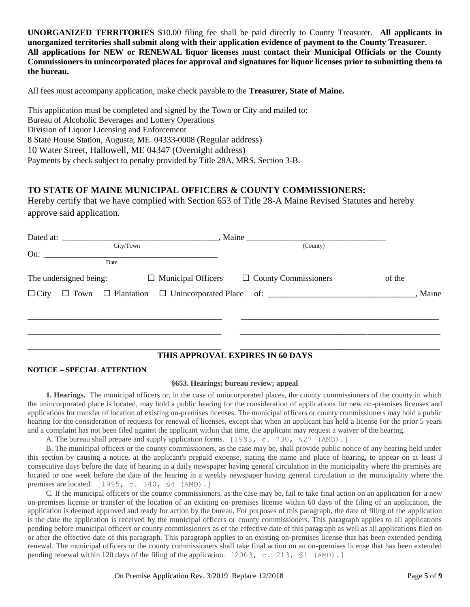**UNORGANIZED TERRITORIES** \$10.00 filing fee shall be paid directly to County Treasurer. **All applicants in unorganized territories shall submit along with their application evidence of payment to the County Treasurer. All applications for NEW or RENEWAL liquor licenses must contact their Municipal Officials or the County Commissioners in unincorporated places for approval and signatures for liquor licenses prior to submitting them to the bureau.** 

All fees must accompany application, make check payable to the **Treasurer, State of Maine.**

This application must be completed and signed by the Town or City and mailed to: Bureau of Alcoholic Beverages and Lottery Operations Division of Liquor Licensing and Enforcement 8 State House Station, Augusta, ME 04333-0008 (Regular address) 10 Water Street, Hallowell, ME 04347 (Overnight address) Payments by check subject to penalty provided by Title 28A, MRS, Section 3-B.

### **TO STATE OF MAINE MUNICIPAL OFFICERS & COUNTY COMMISSIONERS:**

Hereby certify that we have complied with Section 653 of Title 28-A Maine Revised Statutes and hereby approve said application.

| (County)                                                                               |
|----------------------------------------------------------------------------------------|
|                                                                                        |
| The undersigned being: $\Box$ Municipal Officers $\Box$ County Commissioners<br>of the |
|                                                                                        |
|                                                                                        |
|                                                                                        |
|                                                                                        |
|                                                                                        |

#### **THIS APPROVAL EXPIRES IN 60 DAYS**

#### **NOTICE – SPECIAL ATTENTION**

#### **§653. Hearings; bureau review; appeal**

**1. Hearings.** The municipal officers or, in the case of unincorporated places, the county commissioners of the county in which the unincorporated place is located, may hold a public hearing for the consideration of applications for new on-premises licenses and applications for transfer of location of existing on-premises licenses. The municipal officers or county commissioners may hold a public hearing for the consideration of requests for renewal of licenses, except that when an applicant has held a license for the prior 5 years and a complaint has not been filed against the applicant within that time, the applicant may request a waiver of the hearing.

A. The bureau shall prepare and supply application forms. [1993, c. 730, §27 (AMD).]

B. The municipal officers or the county commissioners, as the case may be, shall provide public notice of any hearing held under this section by causing a notice, at the applicant's prepaid expense, stating the name and place of hearing, to appear on at least 3 consecutive days before the date of hearing in a daily newspaper having general circulation in the municipality where the premises are located or one week before the date of the hearing in a weekly newspaper having general circulation in the municipality where the premises are located. [1995, c. 140, §4 (AMD).]

C. If the municipal officers or the county commissioners, as the case may be, fail to take final action on an application for a new on-premises license or transfer of the location of an existing on-premises license within 60 days of the filing of an application, the application is deemed approved and ready for action by the bureau. For purposes of this paragraph, the date of filing of the application is the date the application is received by the municipal officers or county commissioners. This paragraph applies to all applications pending before municipal officers or county commissioners as of the effective date of this paragraph as well as all applications filed on or after the effective date of this paragraph. This paragraph applies to an existing on-premises license that has been extended pending renewal. The municipal officers or the county commissioners shall take final action on an on-premises license that has been extended pending renewal within 120 days of the filing of the application. [2003, c. 213, §1 (AMD).]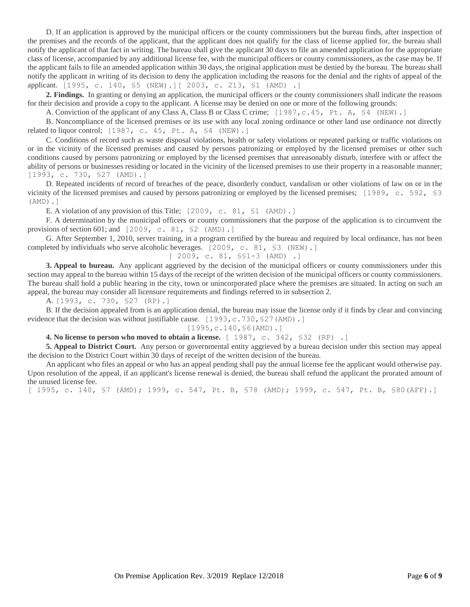D. If an application is approved by the municipal officers or the county commissioners but the bureau finds, after inspection of the premises and the records of the applicant, that the applicant does not qualify for the class of license applied for, the bureau shall notify the applicant of that fact in writing. The bureau shall give the applicant 30 days to file an amended application for the appropriate class of license, accompanied by any additional license fee, with the municipal officers or county commissioners, as the case may be. If the applicant fails to file an amended application within 30 days, the original application must be denied by the bureau. The bureau shall notify the applicant in writing of its decision to deny the application including the reasons for the denial and the rights of appeal of the applicant. [1995, c. 140, §5 (NEW).][ 2003, c. 213, §1 (AMD) .]

**2. Findings.** In granting or denying an application, the municipal officers or the county commissioners shall indicate the reasons for their decision and provide a copy to the applicant. A license may be denied on one or more of the following grounds:

A. Conviction of the applicant of any Class A, Class B or Class C crime; [1987, c.45, Pt. A, \$4 (NEW).]

B. Noncompliance of the licensed premises or its use with any local zoning ordinance or other land use ordinance not directly related to liquor control;  $[1987, c. 45, Pt. A, $4 (NEW).]$ 

C. Conditions of record such as waste disposal violations, health or safety violations or repeated parking or traffic violations on or in the vicinity of the licensed premises and caused by persons patronizing or employed by the licensed premises or other such conditions caused by persons patronizing or employed by the licensed premises that unreasonably disturb, interfere with or affect the ability of persons or businesses residing or located in the vicinity of the licensed premises to use their property in a reasonable manner; [1993, c. 730, §27 (AMD).]

D. Repeated incidents of record of breaches of the peace, disorderly conduct, vandalism or other violations of law on or in the vicinity of the licensed premises and caused by persons patronizing or employed by the licensed premises; [1989, c. 592, §3 (AMD).]

E. A violation of any provision of this Title; [2009, c. 81, \$1 (AMD).]

F. A determination by the municipal officers or county commissioners that the purpose of the application is to circumvent the provisions of section 601; and  $[2009, c. 81, S2 (AMD).]$ 

G. After September 1, 2010, server training, in a program certified by the bureau and required by local ordinance, has not been completed by individuals who serve alcoholic beverages.  $[2009, c. 81, S3 (NEW).]$ 

[ 2009, c. 81, §§1-3 (AMD) .]

**3. Appeal to bureau.** Any applicant aggrieved by the decision of the municipal officers or county commissioners under this section may appeal to the bureau within 15 days of the receipt of the written decision of the municipal officers or county commissioners. The bureau shall hold a public hearing in the city, town or unincorporated place where the premises are situated. In acting on such an appeal, the bureau may consider all licensure requirements and findings referred to in subsection 2.

A. [1993, c. 730, §27 (RP).]

B. If the decision appealed from is an application denial, the bureau may issue the license only if it finds by clear and convincing evidence that the decision was without justifiable cause.  $[1993, c.730, $27 \text{ (AMD)}].$ 

[1995, c.140, \$6(AMD).]

**4. No license to person who moved to obtain a license.** [ 1987, c. 342, §32 (RP) .]

**5. Appeal to District Court.** Any person or governmental entity aggrieved by a bureau decision under this section may appeal the decision to the District Court within 30 days of receipt of the written decision of the bureau.

An applicant who files an appeal or who has an appeal pending shall pay the annual license fee the applicant would otherwise pay. Upon resolution of the appeal, if an applicant's license renewal is denied, the bureau shall refund the applicant the prorated amount of the unused license fee.

[ 1995, c. 140, §7 (AMD); 1999, c. 547, Pt. B, §78 (AMD); 1999, c. 547, Pt. B, §80(AFF).]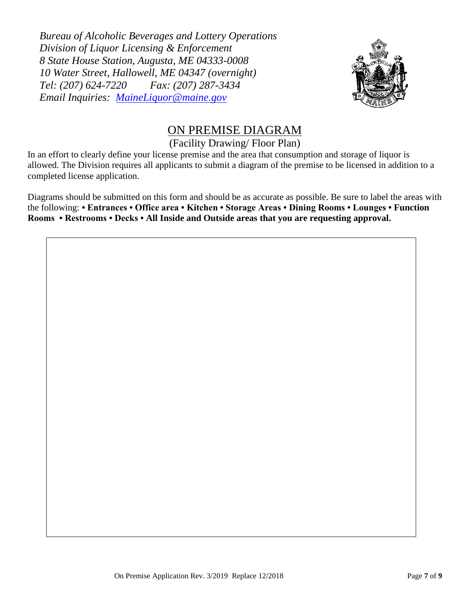*Bureau of Alcoholic Beverages and Lottery Operations Division of Liquor Licensing & Enforcement 8 State House Station, Augusta, ME 04333-0008 10 Water Street, Hallowell, ME 04347 (overnight) Tel: (207) 624-7220 Fax: (207) 287-3434 Email Inquiries: [MaineLiquor@maine.gov](mailto:MaineLiquor@maine.gov)*



# ON PREMISE DIAGRAM

## (Facility Drawing/ Floor Plan)

In an effort to clearly define your license premise and the area that consumption and storage of liquor is allowed. The Division requires all applicants to submit a diagram of the premise to be licensed in addition to a completed license application.

Diagrams should be submitted on this form and should be as accurate as possible. Be sure to label the areas with the following: **• Entrances • Office area • Kitchen • Storage Areas • Dining Rooms • Lounges • Function Rooms • Restrooms • Decks • All Inside and Outside areas that you are requesting approval.**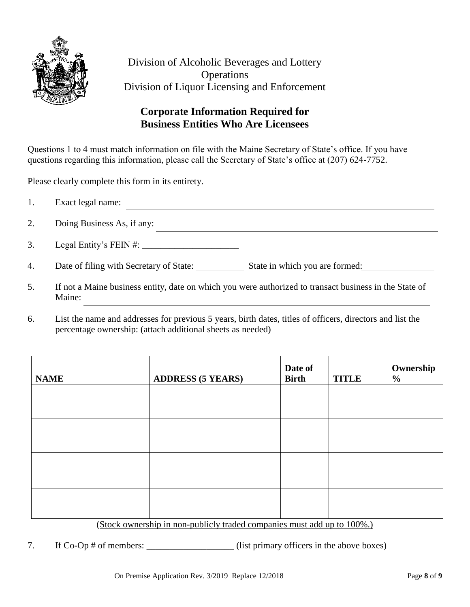

Division of Alcoholic Beverages and Lottery **Operations** Division of Liquor Licensing and Enforcement

## **Corporate Information Required for Business Entities Who Are Licensees**

Questions 1 to 4 must match information on file with the Maine Secretary of State's office. If you have questions regarding this information, please call the Secretary of State's office at (207) 624-7752.

Please clearly complete this form in its entirety.

|    | Exact legal name:                       |                                |
|----|-----------------------------------------|--------------------------------|
| 2. | Doing Business As, if any:              |                                |
| 3. | Legal Entity's FEIN #: $\frac{1}{2}$    |                                |
| 4. | Date of filing with Secretary of State: | State in which you are formed: |

- 5. If not a Maine business entity, date on which you were authorized to transact business in the State of Maine:
- 6. List the name and addresses for previous 5 years, birth dates, titles of officers, directors and list the percentage ownership: (attach additional sheets as needed)

| <b>NAME</b> | <b>ADDRESS (5 YEARS)</b>                                                                                                                                                                                                                 | Date of<br><b>Birth</b> | <b>TITLE</b> | Ownership<br>$\frac{6}{6}$ |
|-------------|------------------------------------------------------------------------------------------------------------------------------------------------------------------------------------------------------------------------------------------|-------------------------|--------------|----------------------------|
|             |                                                                                                                                                                                                                                          |                         |              |                            |
|             |                                                                                                                                                                                                                                          |                         |              |                            |
|             |                                                                                                                                                                                                                                          |                         |              |                            |
|             |                                                                                                                                                                                                                                          |                         |              |                            |
|             | the second contract of the second contract of the second contract of the second contract of the second contract of the second contract of the second contract of the second contract of the second contract of the second cont<br>$\sim$ |                         |              |                            |

### (Stock ownership in non-publicly traded companies must add up to 100%.)

7. If Co-Op # of members: \_\_\_\_\_\_\_\_\_\_\_\_\_\_\_\_\_\_\_(list primary officers in the above boxes)